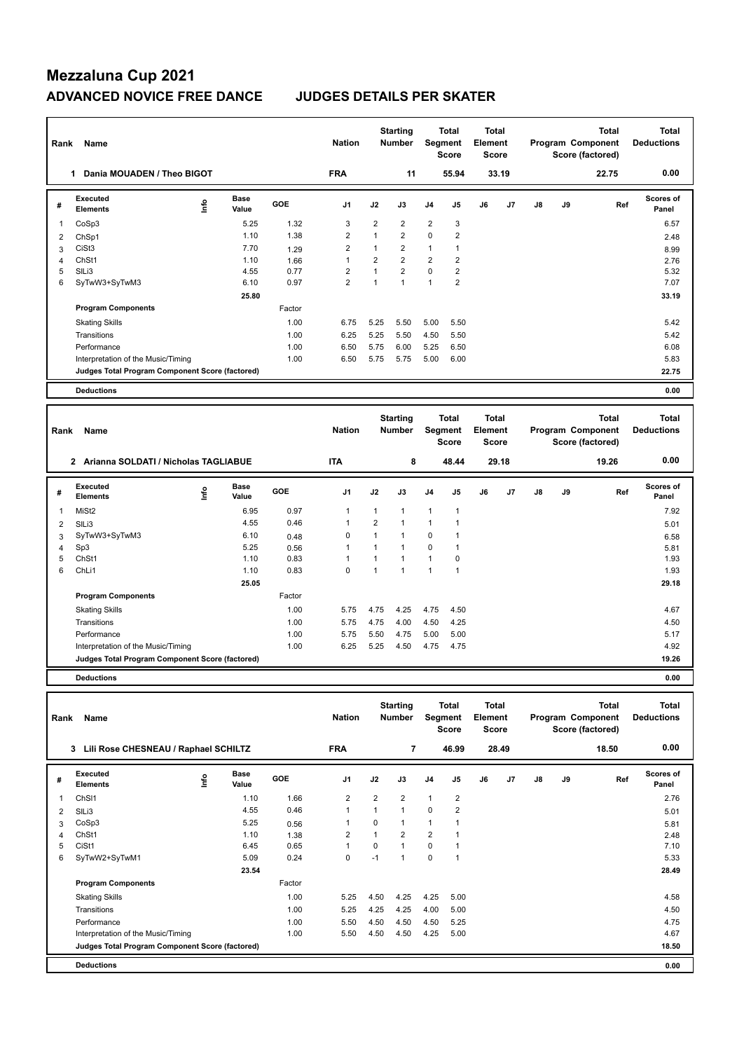| Rank           | Name                                            |      |                      |            | <b>Nation</b>  |                | <b>Starting</b><br><b>Number</b> |                | <b>Total</b><br>Segment<br><b>Score</b>        | Total<br>Element<br><b>Score</b>        |       |               |    | <b>Total</b><br>Program Component<br>Score (factored) | <b>Total</b><br><b>Deductions</b> |
|----------------|-------------------------------------------------|------|----------------------|------------|----------------|----------------|----------------------------------|----------------|------------------------------------------------|-----------------------------------------|-------|---------------|----|-------------------------------------------------------|-----------------------------------|
|                | Dania MOUADEN / Theo BIGOT<br>1                 |      |                      |            | <b>FRA</b>     |                | 11                               |                | 55.94                                          |                                         | 33.19 |               |    | 22.75                                                 | 0.00                              |
| #              | Executed<br><b>Elements</b>                     | ١nfo | Base<br>Value        | GOE        | J <sub>1</sub> | J2             | J3                               | J <sub>4</sub> | J <sub>5</sub>                                 | J6                                      | J7    | $\mathsf{J}8$ | J9 | Ref                                                   | Scores of<br>Panel                |
| 1              | CoSp3                                           |      | 5.25                 | 1.32       | 3              | 2              | $\overline{2}$                   | 2              | 3                                              |                                         |       |               |    |                                                       | 6.57                              |
| 2              | ChSp1                                           |      | 1.10                 | 1.38       | $\overline{2}$ | $\mathbf{1}$   | $\overline{2}$                   | $\mathbf 0$    | $\overline{2}$                                 |                                         |       |               |    |                                                       | 2.48                              |
| 3              | CiSt <sub>3</sub>                               |      | 7.70                 | 1.29       | $\overline{2}$ | $\mathbf{1}$   | $\overline{2}$                   | 1              | 1                                              |                                         |       |               |    |                                                       | 8.99                              |
| $\overline{4}$ | ChSt1                                           |      | 1.10                 | 1.66       | $\mathbf{1}$   | 2              | $\overline{2}$                   | $\overline{2}$ | $\overline{2}$                                 |                                         |       |               |    |                                                       | 2.76                              |
| 5              | SILi3                                           |      | 4.55                 | 0.77       | 2              | $\mathbf{1}$   | $\overline{2}$                   | $\mathbf 0$    | $\overline{2}$                                 |                                         |       |               |    |                                                       | 5.32                              |
| 6              | SyTwW3+SyTwM3                                   |      | 6.10                 | 0.97       | $\overline{2}$ | $\mathbf{1}$   | $\mathbf{1}$                     | $\mathbf{1}$   | $\overline{2}$                                 |                                         |       |               |    |                                                       | 7.07                              |
|                |                                                 |      | 25.80                |            |                |                |                                  |                |                                                |                                         |       |               |    |                                                       | 33.19                             |
|                | <b>Program Components</b>                       |      |                      | Factor     |                |                |                                  |                |                                                |                                         |       |               |    |                                                       |                                   |
|                | <b>Skating Skills</b>                           |      |                      | 1.00       | 6.75           | 5.25           | 5.50                             | 5.00           | 5.50                                           |                                         |       |               |    |                                                       | 5.42                              |
|                | Transitions                                     |      |                      | 1.00       | 6.25           | 5.25           | 5.50                             | 4.50           | 5.50                                           |                                         |       |               |    |                                                       | 5.42                              |
|                | Performance                                     |      |                      | 1.00       | 6.50           | 5.75           | 6.00                             | 5.25           | 6.50                                           |                                         |       |               |    |                                                       | 6.08                              |
|                | Interpretation of the Music/Timing              |      |                      | 1.00       | 6.50           | 5.75           | 5.75                             | 5.00           | 6.00                                           |                                         |       |               |    |                                                       | 5.83                              |
|                | Judges Total Program Component Score (factored) |      |                      |            |                |                |                                  |                |                                                |                                         |       |               |    |                                                       | 22.75                             |
|                | <b>Deductions</b>                               |      |                      |            |                |                |                                  |                |                                                |                                         |       |               |    |                                                       | 0.00                              |
|                |                                                 |      |                      |            |                |                |                                  |                |                                                |                                         |       |               |    |                                                       |                                   |
| Rank           | Name                                            |      |                      |            | <b>Nation</b>  |                | <b>Starting</b><br><b>Number</b> |                | <b>Total</b><br><b>Segment</b><br><b>Score</b> | <b>Total</b><br>Element<br><b>Score</b> |       |               |    | <b>Total</b><br>Program Component<br>Score (factored) | Total<br><b>Deductions</b>        |
|                | 2 Arianna SOLDATI / Nicholas TAGLIABUE          |      |                      |            | <b>ITA</b>     |                | 8                                |                | 48.44                                          |                                         | 29.18 |               |    | 19.26                                                 | 0.00                              |
| #              | Executed<br><b>Elements</b>                     | ۴ů   | <b>Base</b><br>Value | <b>GOE</b> | J1             | J2             | J3                               | J <sub>4</sub> | J5                                             | J6                                      | J7    | J8            | J9 | Ref                                                   | Scores of<br>Panel                |
| 1              | MiSt <sub>2</sub>                               |      | 6.95                 | 0.97       | $\mathbf{1}$   | $\mathbf{1}$   | $\mathbf{1}$                     | $\mathbf{1}$   | 1                                              |                                         |       |               |    |                                                       | 7.92                              |
| 2              | SIL <sub>i3</sub>                               |      | 4.55                 | 0.46       | $\overline{1}$ | $\overline{2}$ | $\mathbf{1}$                     | $\mathbf{1}$   | $\mathbf{1}$                                   |                                         |       |               |    |                                                       | 5.01                              |
| 3              | SyTwW3+SyTwM3                                   |      | 6.10                 | 0.48       | $\mathbf 0$    | 1              | $\mathbf{1}$                     | $\mathbf 0$    | 1                                              |                                         |       |               |    |                                                       | 6.58                              |
| 4              | Sp3                                             |      | 5.25                 | 0.56       | $\mathbf{1}$   | 1              | $\mathbf{1}$                     | 0              | 1                                              |                                         |       |               |    |                                                       | 5.81                              |

|   | Name<br>ank                                          |      |                      |        | <b>Nation</b>  |                | Starting<br><b>Number</b> | Segment        | Total<br><b>Score</b> | Element<br><b>Score</b> | Total |    |    | Total<br>Program Component<br>Score (factored) | Total<br><b>Deductions</b> |
|---|------------------------------------------------------|------|----------------------|--------|----------------|----------------|---------------------------|----------------|-----------------------|-------------------------|-------|----|----|------------------------------------------------|----------------------------|
|   | Arianna SOLDATI / Nicholas TAGLIABUE<br>$\mathbf{2}$ |      |                      |        | <b>ITA</b>     |                | 8                         |                | 48.44                 |                         | 29.18 |    |    | 19.26                                          | 0.00                       |
|   | Executed<br><b>Elements</b>                          | ١nf٥ | <b>Base</b><br>Value | GOE    | J <sub>1</sub> | J2             | J3                        | J <sub>4</sub> | J5                    | J6                      | J7    | J8 | J9 | Ref                                            | <b>Scores of</b><br>Panel  |
| 1 | MiSt2                                                |      | 6.95                 | 0.97   | 1              | $\mathbf{1}$   | 1                         | 1              | 1                     |                         |       |    |    |                                                | 7.92                       |
| 2 | SILi3                                                |      | 4.55                 | 0.46   | 1              | $\overline{2}$ | 1                         | 1              |                       |                         |       |    |    |                                                | 5.01                       |
| 3 | SyTwW3+SyTwM3                                        |      | 6.10                 | 0.48   | 0              | 1              | $\mathbf{1}$              | $\mathbf 0$    |                       |                         |       |    |    |                                                | 6.58                       |
| 4 | Sp3                                                  |      | 5.25                 | 0.56   | 1              |                | 1                         | 0              |                       |                         |       |    |    |                                                | 5.81                       |
| 5 | ChSt1                                                |      | 1.10                 | 0.83   | 1              |                | 1                         | 1              | 0                     |                         |       |    |    |                                                | 1.93                       |
| 6 | ChLi1                                                |      | 1.10                 | 0.83   | $\mathbf 0$    |                | 1                         | 1              |                       |                         |       |    |    |                                                | 1.93                       |
|   |                                                      |      | 25.05                |        |                |                |                           |                |                       |                         |       |    |    |                                                | 29.18                      |
|   | <b>Program Components</b>                            |      |                      | Factor |                |                |                           |                |                       |                         |       |    |    |                                                |                            |
|   | <b>Skating Skills</b>                                |      |                      | 1.00   | 5.75           | 4.75           | 4.25                      | 4.75           | 4.50                  |                         |       |    |    |                                                | 4.67                       |
|   | Transitions                                          |      |                      | 1.00   | 5.75           | 4.75           | 4.00                      | 4.50           | 4.25                  |                         |       |    |    |                                                | 4.50                       |
|   | Performance                                          |      |                      | 1.00   | 5.75           | 5.50           | 4.75                      | 5.00           | 5.00                  |                         |       |    |    |                                                | 5.17                       |
|   | Interpretation of the Music/Timing                   |      |                      | 1.00   | 6.25           | 5.25           | 4.50                      | 4.75           | 4.75                  |                         |       |    |    |                                                | 4.92                       |
|   | Judges Total Program Component Score (factored)      |      |                      |        |                |                |                           |                |                       |                         |       |    |    |                                                | 19.26                      |
|   | <b>Deductions</b>                                    |      |                      |        |                |                |                           |                |                       |                         |       |    |    |                                                | 0.00                       |

| Rank | Name                                            |      |                      |            | <b>Nation</b>  |                | <b>Starting</b><br><b>Number</b> | Segment        | Total<br><b>Score</b>   | <b>Total</b><br>Element<br><b>Score</b> |       | <b>Total</b><br>Program Component<br>Score (factored) |    |       | <b>Total</b><br><b>Deductions</b> |
|------|-------------------------------------------------|------|----------------------|------------|----------------|----------------|----------------------------------|----------------|-------------------------|-----------------------------------------|-------|-------------------------------------------------------|----|-------|-----------------------------------|
|      | Lili Rose CHESNEAU / Raphael SCHILTZ<br>3       |      |                      |            | <b>FRA</b>     |                | 7                                |                | 46.99                   |                                         | 28.49 |                                                       |    | 18.50 | 0.00                              |
| #    | <b>Executed</b><br><b>Elements</b>              | lnfo | <b>Base</b><br>Value | <b>GOE</b> | J <sub>1</sub> | J2             | J3                               | J <sub>4</sub> | J5                      | J6                                      | J7    | J8                                                    | J9 | Ref   | <b>Scores of</b><br>Panel         |
| 1    | ChS <sub>11</sub>                               |      | 1.10                 | 1.66       | $\overline{2}$ | $\overline{2}$ | $\overline{2}$                   | $\mathbf{1}$   | $\overline{2}$          |                                         |       |                                                       |    |       | 2.76                              |
| 2    | SILi3                                           |      | 4.55                 | 0.46       | $\overline{1}$ |                | 1                                | 0              | 2                       |                                         |       |                                                       |    |       | 5.01                              |
| 3    | CoSp3                                           |      | 5.25                 | 0.56       | -1             | 0              | 1                                | $\mathbf{1}$   |                         |                                         |       |                                                       |    |       | 5.81                              |
| 4    | ChSt1                                           |      | 1.10                 | 1.38       | $\overline{2}$ |                | $\overline{2}$                   | $\overline{2}$ | 1                       |                                         |       |                                                       |    |       | 2.48                              |
| 5    | CiSt1                                           |      | 6.45                 | 0.65       | $\overline{1}$ | 0              | $\mathbf{1}$                     | 0              | $\overline{\mathbf{1}}$ |                                         |       |                                                       |    |       | 7.10                              |
| 6    | SyTwW2+SyTwM1                                   |      | 5.09                 | 0.24       | 0              | $-1$           | 1                                | 0              | 1                       |                                         |       |                                                       |    |       | 5.33                              |
|      |                                                 |      | 23.54                |            |                |                |                                  |                |                         |                                         |       |                                                       |    |       | 28.49                             |
|      | <b>Program Components</b>                       |      |                      | Factor     |                |                |                                  |                |                         |                                         |       |                                                       |    |       |                                   |
|      | <b>Skating Skills</b>                           |      |                      | 1.00       | 5.25           | 4.50           | 4.25                             | 4.25           | 5.00                    |                                         |       |                                                       |    |       | 4.58                              |
|      | Transitions                                     |      |                      | 1.00       | 5.25           | 4.25           | 4.25                             | 4.00           | 5.00                    |                                         |       |                                                       |    |       | 4.50                              |
|      | Performance                                     |      |                      | 1.00       | 5.50           | 4.50           | 4.50                             | 4.50           | 5.25                    |                                         |       |                                                       |    |       | 4.75                              |
|      | Interpretation of the Music/Timing              |      |                      | 1.00       | 5.50           | 4.50           | 4.50                             | 4.25           | 5.00                    |                                         |       |                                                       |    |       | 4.67                              |
|      | Judges Total Program Component Score (factored) |      |                      |            |                |                |                                  |                |                         |                                         |       |                                                       |    |       | 18.50                             |
|      | <b>Deductions</b>                               |      |                      |            |                |                |                                  |                |                         |                                         |       |                                                       |    |       | 0.00                              |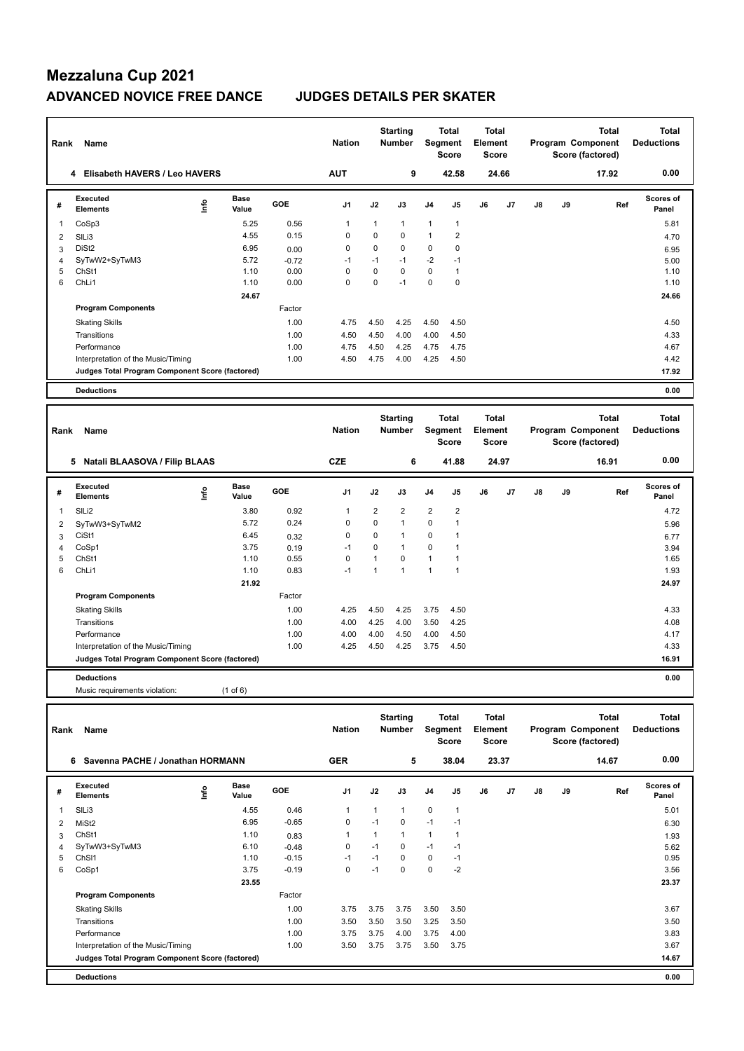| Rank                    | Name                                            |                                  |               |            | <b>Nation</b>   |                | <b>Starting</b><br>Number |                | <b>Total</b><br>Segment<br><b>Score</b> | <b>Total</b><br>Element<br><b>Score</b> |       |                   |                   | <b>Total</b><br>Program Component<br>Score (factored) | <b>Total</b><br><b>Deductions</b> |
|-------------------------|-------------------------------------------------|----------------------------------|---------------|------------|-----------------|----------------|---------------------------|----------------|-----------------------------------------|-----------------------------------------|-------|-------------------|-------------------|-------------------------------------------------------|-----------------------------------|
|                         | 4 Elisabeth HAVERS / Leo HAVERS                 |                                  |               |            | <b>AUT</b>      |                | 9                         |                | 42.58                                   |                                         | 24.66 |                   |                   | 17.92                                                 | 0.00                              |
| #                       | <b>Executed</b><br>Elements                     | $\mathop{\mathsf{Int}}\nolimits$ | Base<br>Value | GOE        | J <sub>1</sub>  | J2             | J3                        | J4             | J5                                      | J6                                      | J7    | J8                | J9                | Ref                                                   | Scores of<br>Panel                |
| 1                       | CoSp3                                           |                                  | 5.25          | 0.56       | $\mathbf{1}$    | $\mathbf{1}$   | $\mathbf{1}$              | 1              | $\mathbf{1}$                            |                                         |       |                   |                   |                                                       | 5.81                              |
| $\overline{2}$          | SILi3                                           |                                  | 4.55          | 0.15       | $\mathbf 0$     | $\mathbf 0$    | $\mathbf 0$               | $\mathbf{1}$   | $\overline{2}$                          |                                         |       |                   |                   |                                                       | 4.70                              |
| 3                       | DiSt <sub>2</sub>                               |                                  | 6.95          | 0.00       | $\mathbf 0$     | $\mathbf 0$    | $\mathbf 0$               | 0              | $\mathbf 0$                             |                                         |       |                   |                   |                                                       | 6.95                              |
| $\overline{\mathbf{4}}$ | SyTwW2+SyTwM3                                   |                                  | 5.72          | $-0.72$    | $-1$            | $-1$           | $-1$                      | $-2$           | $-1$                                    |                                         |       |                   |                   |                                                       | 5.00                              |
| 5                       | ChSt1                                           |                                  | 1.10          | 0.00       | $\mathbf 0$     | $\mathbf 0$    | $\mathbf 0$               | 0              | $\mathbf{1}$                            |                                         |       |                   |                   |                                                       | 1.10                              |
| 6                       | ChLi1                                           |                                  | 1.10          | 0.00       | $\mathbf 0$     | $\pmb{0}$      | $-1$                      | 0              | $\pmb{0}$                               |                                         |       |                   |                   |                                                       | 1.10                              |
|                         |                                                 |                                  | 24.67         |            |                 |                |                           |                |                                         |                                         |       |                   |                   |                                                       | 24.66                             |
|                         | <b>Program Components</b>                       |                                  |               | Factor     |                 |                |                           |                |                                         |                                         |       |                   |                   |                                                       |                                   |
|                         | <b>Skating Skills</b>                           |                                  |               | 1.00       | 4.75            | 4.50           | 4.25                      | 4.50           | 4.50                                    |                                         |       |                   |                   |                                                       | 4.50                              |
|                         | Transitions                                     |                                  |               | 1.00       | 4.50            | 4.50           | 4.00                      | 4.00           | 4.50                                    |                                         |       |                   |                   |                                                       | 4.33                              |
|                         | Performance                                     |                                  |               | 1.00       | 4.75            | 4.50           | 4.25                      | 4.75           | 4.75                                    |                                         |       |                   |                   |                                                       | 4.67                              |
|                         | Interpretation of the Music/Timing              |                                  |               | 1.00       | 4.50            | 4.75           | 4.00                      | 4.25           | 4.50                                    |                                         |       |                   |                   |                                                       | 4.42                              |
|                         | Judges Total Program Component Score (factored) |                                  |               |            |                 |                |                           |                |                                         |                                         |       |                   |                   |                                                       | 17.92                             |
|                         | <b>Deductions</b>                               |                                  |               |            |                 |                |                           |                |                                         |                                         |       |                   |                   |                                                       | 0.00                              |
|                         |                                                 |                                  |               |            |                 |                |                           |                |                                         |                                         |       |                   |                   |                                                       |                                   |
|                         |                                                 |                                  |               |            | <b>Starting</b> |                | <b>Total</b>              | <b>Total</b>   |                                         |                                         |       | <b>Total</b>      | <b>Total</b>      |                                                       |                                   |
| Rank                    | Name                                            |                                  | <b>Nation</b> |            | <b>Number</b>   |                | <b>Segment</b>            | <b>Element</b> |                                         |                                         |       | Program Component | <b>Deductions</b> |                                                       |                                   |
|                         |                                                 |                                  |               |            |                 |                |                           |                | <b>Score</b>                            | <b>Score</b>                            |       |                   |                   | Score (factored)                                      |                                   |
|                         | 5 Natali BLAASOVA / Filip BLAAS                 |                                  |               |            | <b>CZE</b>      |                | 6                         |                | 41.88                                   |                                         | 24.97 |                   |                   | 16.91                                                 | 0.00                              |
|                         |                                                 |                                  |               |            |                 |                |                           |                |                                         |                                         |       |                   |                   |                                                       |                                   |
| #                       | <b>Executed</b>                                 | lnfo                             | <b>Base</b>   | <b>GOE</b> | J <sub>1</sub>  | J2             | J3                        | J4             | J5                                      | J6                                      | J7    | J8                | J9                | Ref                                                   | <b>Scores of</b>                  |
|                         | <b>Elements</b>                                 |                                  | Value         |            |                 |                |                           |                |                                         |                                         |       |                   |                   |                                                       | Panel                             |
| 1                       | SILi2                                           |                                  | 3.80          | 0.92       | $\mathbf{1}$    | $\overline{2}$ | $\overline{2}$            | $\overline{2}$ | $\overline{2}$                          |                                         |       |                   |                   |                                                       | 4.72                              |
| $\overline{c}$          | SyTwW3+SyTwM2                                   |                                  | 5.72          | 0.24       | $\mathbf 0$     | $\pmb{0}$      | $\mathbf{1}$              | 0              | $\mathbf{1}$                            |                                         |       |                   |                   |                                                       | 5.96                              |
| 3                       | CiSt1                                           |                                  | 6.45          | 0.32       | $\mathbf 0$     | $\pmb{0}$      | $\mathbf{1}$              | 0              | 1                                       |                                         |       |                   |                   |                                                       | 6.77                              |
| $\overline{4}$          | CoSp1                                           |                                  | 3.75          | 0.19       | $-1$            | $\mathbf 0$    | $\mathbf{1}$              | 0              | $\mathbf{1}$                            |                                         |       |                   |                   |                                                       | 3.94                              |
| 5                       | ChSt1                                           |                                  | 1.10          | 0.55       | $\mathbf 0$     | $\mathbf{1}$   | $\mathbf 0$               | $\mathbf{1}$   | $\mathbf{1}$                            |                                         |       |                   |                   |                                                       | 1.65                              |
| 6                       | ChLi1                                           |                                  | 1.10          | 0.83       | $-1$            | $\mathbf{1}$   | $\mathbf{1}$              | $\mathbf{1}$   | $\mathbf{1}$                            |                                         |       |                   |                   |                                                       | 1.93                              |
|                         |                                                 |                                  | 21.92         |            |                 |                |                           |                |                                         |                                         |       |                   |                   |                                                       | 24.97                             |
|                         | <b>Program Components</b>                       |                                  |               | Factor     |                 |                |                           |                |                                         |                                         |       |                   |                   |                                                       |                                   |
|                         | <b>Skating Skills</b>                           |                                  |               | 1.00       | 4.25            | 4.50           | 4.25                      | 3.75           | 4.50                                    |                                         |       |                   |                   |                                                       | 4.33                              |
|                         | Transitions                                     |                                  |               | 1.00       | 4.00            | 4.25           | 4.00                      | 3.50           | 4.25                                    |                                         |       |                   |                   |                                                       | 4.08                              |
|                         | Performance                                     |                                  |               | 1.00       | 4.00            | 4.00           | 4.50                      | 4.00           | 4.50                                    |                                         |       |                   |                   |                                                       | 4.17                              |
|                         | Interpretation of the Music/Timing              |                                  |               | 1.00       | 4.25            | 4.50           | 4.25                      | 3.75           | 4.50                                    |                                         |       |                   |                   |                                                       | 4.33                              |
|                         | Judges Total Program Component Score (factored) |                                  |               |            |                 |                |                           |                |                                         |                                         |       |                   |                   |                                                       | 16.91                             |
|                         | <b>Deductions</b>                               |                                  |               |            |                 |                |                           |                |                                         |                                         |       |                   |                   |                                                       | 0.00                              |
|                         | Music requirements violation:                   |                                  | $(1$ of 6)    |            |                 |                |                           |                |                                         |                                         |       |                   |                   |                                                       |                                   |
|                         |                                                 |                                  |               |            |                 |                |                           |                |                                         |                                         |       |                   |                   |                                                       |                                   |
|                         |                                                 |                                  |               |            |                 |                | <b>Starting</b>           |                | <b>Total</b>                            | <b>Total</b>                            |       |                   |                   | <b>Total</b>                                          | <b>Total</b>                      |
| Rank                    | Name                                            |                                  |               |            | <b>Nation</b>   |                | <b>Number</b>             |                | Segment<br>0.000                        | Element<br>0.000                        |       |                   |                   | Program Component<br>Coore (footorod)                 | <b>Deductions</b>                 |

|   |                                                 |      |                      |            |                |      | Score               |                |                | <b>Score</b> |    |    |    | Score (factored) |                           |
|---|-------------------------------------------------|------|----------------------|------------|----------------|------|---------------------|----------------|----------------|--------------|----|----|----|------------------|---------------------------|
|   | Savenna PACHE / Jonathan HORMANN<br>6           |      |                      |            | <b>GER</b>     |      | 5<br>38.04<br>23.37 |                | 14.67          | 0.00         |    |    |    |                  |                           |
| # | Executed<br><b>Elements</b>                     | ١nto | <b>Base</b><br>Value | <b>GOE</b> | J <sub>1</sub> | J2   | J3                  | J <sub>4</sub> | J5             | J6           | J7 | J8 | J9 | Ref              | <b>Scores of</b><br>Panel |
| 1 | SILi3                                           |      | 4.55                 | 0.46       | 1              | 1    | $\mathbf{1}$        | $\mathbf 0$    | 1              |              |    |    |    |                  | 5.01                      |
| 2 | MiSt <sub>2</sub>                               |      | 6.95                 | $-0.65$    | 0              | $-1$ | $\mathbf 0$         | $-1$           | $-1$           |              |    |    |    |                  | 6.30                      |
| 3 | ChSt1                                           |      | 1.10                 | 0.83       | 1              | 1    | $\mathbf{1}$        | $\mathbf{1}$   | $\overline{1}$ |              |    |    |    |                  | 1.93                      |
| 4 | SyTwW3+SyTwM3                                   |      | 6.10                 | $-0.48$    | 0              | $-1$ | 0                   | $-1$           | $-1$           |              |    |    |    |                  | 5.62                      |
| 5 | ChS <sub>11</sub>                               |      | 1.10                 | $-0.15$    | $-1$           | $-1$ | $\Omega$            | $\mathbf 0$    | $-1$           |              |    |    |    |                  | 0.95                      |
| 6 | CoSp1                                           |      | 3.75                 | $-0.19$    | 0              | $-1$ | 0                   | $\mathbf 0$    | $-2$           |              |    |    |    |                  | 3.56                      |
|   |                                                 |      | 23.55                |            |                |      |                     |                |                |              |    |    |    |                  | 23.37                     |
|   | <b>Program Components</b>                       |      |                      | Factor     |                |      |                     |                |                |              |    |    |    |                  |                           |
|   | <b>Skating Skills</b>                           |      |                      | 1.00       | 3.75           | 3.75 | 3.75                | 3.50           | 3.50           |              |    |    |    |                  | 3.67                      |
|   | Transitions                                     |      |                      | 1.00       | 3.50           | 3.50 | 3.50                | 3.25           | 3.50           |              |    |    |    |                  | 3.50                      |
|   | Performance                                     |      |                      | 1.00       | 3.75           | 3.75 | 4.00                | 3.75           | 4.00           |              |    |    |    |                  | 3.83                      |
|   | Interpretation of the Music/Timing              |      |                      | 1.00       | 3.50           | 3.75 | 3.75                | 3.50           | 3.75           |              |    |    |    |                  | 3.67                      |
|   | Judges Total Program Component Score (factored) |      |                      |            |                |      |                     |                |                |              |    |    |    |                  | 14.67                     |
|   | <b>Deductions</b>                               |      |                      |            |                |      |                     |                |                |              |    |    |    |                  | 0.00                      |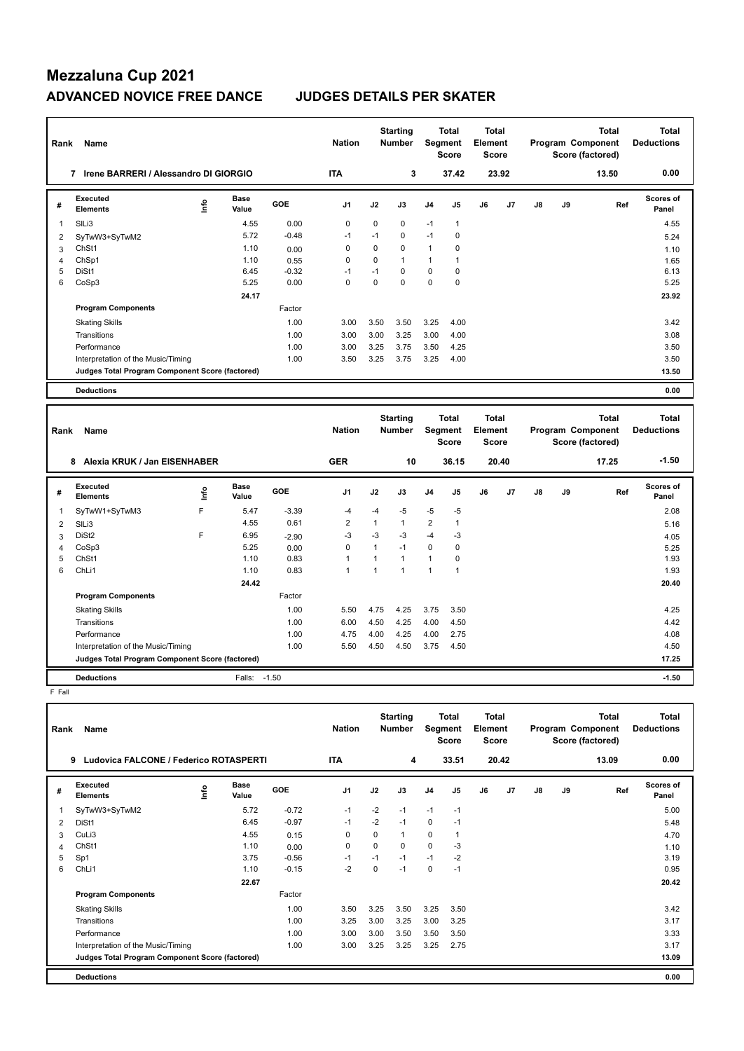| Rank           | Name                                            |      |                      |            | <b>Nation</b>  |              | <b>Starting</b><br><b>Number</b> |                | <b>Total</b><br><b>Segment</b><br><b>Score</b> | <b>Total</b><br>Element<br><b>Score</b> |       |               | Program Component<br>Score (factored) | <b>Total</b><br><b>Deductions</b>                     |                                   |
|----------------|-------------------------------------------------|------|----------------------|------------|----------------|--------------|----------------------------------|----------------|------------------------------------------------|-----------------------------------------|-------|---------------|---------------------------------------|-------------------------------------------------------|-----------------------------------|
|                | 7 Irene BARRERI / Alessandro DI GIORGIO         |      |                      |            | <b>ITA</b>     |              | 3                                |                | 37.42                                          |                                         | 23.92 |               |                                       | 13.50                                                 | 0.00                              |
| #              | Executed<br><b>Elements</b>                     | ١nfo | <b>Base</b><br>Value | GOE        | J <sub>1</sub> | J2           | J3                               | J4             | J5                                             | J6                                      | J7    | $\mathsf{J}8$ | J9                                    | Ref                                                   | <b>Scores of</b><br>Panel         |
| $\overline{1}$ | SILi3                                           |      | 4.55                 | 0.00       | 0              | 0            | 0                                | $-1$           | $\mathbf{1}$                                   |                                         |       |               |                                       |                                                       | 4.55                              |
| 2              | SyTwW3+SyTwM2                                   |      | 5.72                 | $-0.48$    | $-1$           | $-1$         | $\Omega$                         | $-1$           | 0                                              |                                         |       |               |                                       |                                                       | 5.24                              |
| 3              | ChSt1                                           |      | 1.10                 | 0.00       | $\mathbf 0$    | $\mathbf 0$  | $\Omega$                         | $\mathbf{1}$   | 0                                              |                                         |       |               |                                       |                                                       | 1.10                              |
| $\overline{4}$ | ChSp1                                           |      | 1.10                 | 0.55       | 0              | 0            | 1                                | $\mathbf{1}$   | 1                                              |                                         |       |               |                                       |                                                       | 1.65                              |
| 5              | DiSt1                                           |      | 6.45                 | $-0.32$    | $-1$           | $-1$         | $\Omega$                         | $\mathbf 0$    | 0                                              |                                         |       |               |                                       |                                                       | 6.13                              |
| 6              | CoSp3                                           |      | 5.25                 | 0.00       | $\mathbf 0$    | $\mathbf 0$  | $\mathbf 0$                      | $\mathbf 0$    | $\mathbf 0$                                    |                                         |       |               |                                       |                                                       | 5.25                              |
|                |                                                 |      | 24.17                |            |                |              |                                  |                |                                                |                                         |       |               |                                       |                                                       | 23.92                             |
|                | <b>Program Components</b>                       |      |                      | Factor     |                |              |                                  |                |                                                |                                         |       |               |                                       |                                                       |                                   |
|                | <b>Skating Skills</b>                           |      |                      | 1.00       | 3.00           | 3.50         | 3.50                             | 3.25           | 4.00                                           |                                         |       |               |                                       |                                                       | 3.42                              |
|                | Transitions                                     |      |                      | 1.00       | 3.00           | 3.00         | 3.25                             | 3.00           | 4.00                                           |                                         |       |               |                                       |                                                       | 3.08                              |
|                | Performance                                     |      |                      | 1.00       | 3.00           | 3.25         | 3.75                             | 3.50           | 4.25                                           |                                         |       |               |                                       |                                                       | 3.50                              |
|                | Interpretation of the Music/Timing              |      |                      | 1.00       | 3.50           | 3.25         | 3.75                             | 3.25           | 4.00                                           |                                         |       |               |                                       |                                                       | 3.50                              |
|                | Judges Total Program Component Score (factored) |      |                      |            |                |              |                                  |                |                                                |                                         |       |               |                                       |                                                       | 13.50                             |
|                |                                                 |      |                      |            |                |              |                                  |                |                                                |                                         |       |               |                                       |                                                       |                                   |
|                | <b>Deductions</b>                               |      |                      |            |                |              |                                  |                |                                                |                                         |       |               |                                       |                                                       | 0.00                              |
| Rank           | Name                                            |      |                      |            | <b>Nation</b>  |              | <b>Starting</b><br><b>Number</b> |                | <b>Total</b><br><b>Segment</b><br><b>Score</b> | <b>Total</b><br>Element<br><b>Score</b> |       |               |                                       | <b>Total</b><br>Program Component<br>Score (factored) | <b>Total</b><br><b>Deductions</b> |
|                | Alexia KRUK / Jan EISENHABER<br>8               |      |                      |            | <b>GER</b>     |              | 10                               |                | 36.15                                          |                                         | 20.40 |               |                                       | 17.25                                                 | $-1.50$                           |
| #              | Executed<br><b>Elements</b>                     | lnfo | <b>Base</b><br>Value | <b>GOE</b> | J <sub>1</sub> | J2           | J3                               | J <sub>4</sub> | J <sub>5</sub>                                 | J6                                      | J7    | $\mathsf{J}8$ | J9                                    | Ref                                                   | <b>Scores of</b><br>Panel         |
| 1              | SyTwW1+SyTwM3                                   | F    | 5.47                 | $-3.39$    | $-4$           | $-4$         | -5                               | $-5$           | -5                                             |                                         |       |               |                                       |                                                       | 2.08                              |
| 2              | SIL <sub>i3</sub>                               |      | 4.55                 | 0.61       | $\overline{2}$ | $\mathbf{1}$ | $\mathbf{1}$                     | $\overline{2}$ | $\mathbf{1}$                                   |                                         |       |               |                                       |                                                       | 5.16                              |

 SlLi3 4.55 0.61 2 1 1 2 1 5.16 DiSt2 F 6.95 -2.90 -3 -3 -3 -4 -3 4.05 CoSp3 5.25 0.00 0 1 -1 0 0 5.25 ChSt1 1.10 0.83 1 1 1 1 0 1.93 ChLi1 1.10 0.83 1 1 1 1 1 1.93

Skating Skills 5.50 4.75 4.25 3.75 3.50 1.00 4.25

Transitions 1.00 6.00 4.50 4.25 4.00 4.50 4.42 Performance 2.00 4.75 4.00 4.75 4.00 4.25 4.00 4.25 4.00 2.75 4.08 4.08 Interpretation of the Music/Timing 1.00 5.50 4.50 4.50 3.75 4.50

**Deductions** Falls: -1.50 **-1.50 Judges Total Program Component Score (factored) 17.25**

Factor

 **24.42 20.40**

 $F$  Fall

**Program Components** 

| Rank | Name<br>Ludovica FALCONE / Federico ROTASPERTI<br>9 |   | <b>Nation</b><br><b>ITA</b> |         | <b>Starting</b><br><b>Number</b><br>4 | Segment  | <b>Total</b><br><b>Score</b><br>33.51 | <b>Total</b><br>Element<br><b>Score</b> | 20.42          |    |                | <b>Total</b><br>Program Component<br>Score (factored)<br>13.09 | <b>Total</b><br><b>Deductions</b><br>0.00 |     |                           |
|------|-----------------------------------------------------|---|-----------------------------|---------|---------------------------------------|----------|---------------------------------------|-----------------------------------------|----------------|----|----------------|----------------------------------------------------------------|-------------------------------------------|-----|---------------------------|
|      |                                                     |   |                             |         |                                       |          |                                       |                                         |                |    |                |                                                                |                                           |     |                           |
| #    | Executed<br><b>Elements</b>                         | ۴ | <b>Base</b><br>Value        | GOE     | J <sub>1</sub>                        | J2       | J3                                    | J <sub>4</sub>                          | J <sub>5</sub> | J6 | J <sub>7</sub> | J8                                                             | J9                                        | Ref | <b>Scores of</b><br>Panel |
| 1    | SyTwW3+SyTwM2                                       |   | 5.72                        | $-0.72$ | $-1$                                  | $-2$     | $-1$                                  | $-1$                                    | $-1$           |    |                |                                                                |                                           |     | 5.00                      |
| 2    | DiSt1                                               |   | 6.45                        | $-0.97$ | $-1$                                  | $-2$     | $-1$                                  | $\mathbf 0$                             | $-1$           |    |                |                                                                |                                           |     | 5.48                      |
| 3    | CuLi3                                               |   | 4.55                        | 0.15    | 0                                     | $\Omega$ | 1                                     | $\mathbf 0$                             | $\overline{1}$ |    |                |                                                                |                                           |     | 4.70                      |
| 4    | ChSt1                                               |   | 1.10                        | 0.00    | 0                                     | 0        | 0                                     | 0                                       | $-3$           |    |                |                                                                |                                           |     | 1.10                      |
| 5    | Sp1                                                 |   | 3.75                        | $-0.56$ | $-1$                                  | $-1$     | $-1$                                  | $-1$                                    | $-2$           |    |                |                                                                |                                           |     | 3.19                      |
| 6    | ChL <sub>i1</sub>                                   |   | 1.10                        | $-0.15$ | $-2$                                  | 0        | $-1$                                  | 0                                       | $-1$           |    |                |                                                                |                                           |     | 0.95                      |
|      |                                                     |   | 22.67                       |         |                                       |          |                                       |                                         |                |    |                |                                                                |                                           |     | 20.42                     |
|      | <b>Program Components</b>                           |   |                             | Factor  |                                       |          |                                       |                                         |                |    |                |                                                                |                                           |     |                           |
|      | <b>Skating Skills</b>                               |   |                             | 1.00    | 3.50                                  | 3.25     | 3.50                                  | 3.25                                    | 3.50           |    |                |                                                                |                                           |     | 3.42                      |
|      | Transitions                                         |   |                             | 1.00    | 3.25                                  | 3.00     | 3.25                                  | 3.00                                    | 3.25           |    |                |                                                                |                                           |     | 3.17                      |
|      | Performance                                         |   |                             | 1.00    | 3.00                                  | 3.00     | 3.50                                  | 3.50                                    | 3.50           |    |                |                                                                |                                           |     | 3.33                      |
|      | Interpretation of the Music/Timing                  |   |                             | 1.00    | 3.00                                  | 3.25     | 3.25                                  | 3.25                                    | 2.75           |    |                |                                                                |                                           |     | 3.17                      |
|      | Judges Total Program Component Score (factored)     |   |                             |         |                                       |          |                                       |                                         |                |    |                |                                                                |                                           |     | 13.09                     |
|      | <b>Deductions</b>                                   |   |                             |         |                                       |          |                                       |                                         |                |    |                |                                                                |                                           |     | 0.00                      |